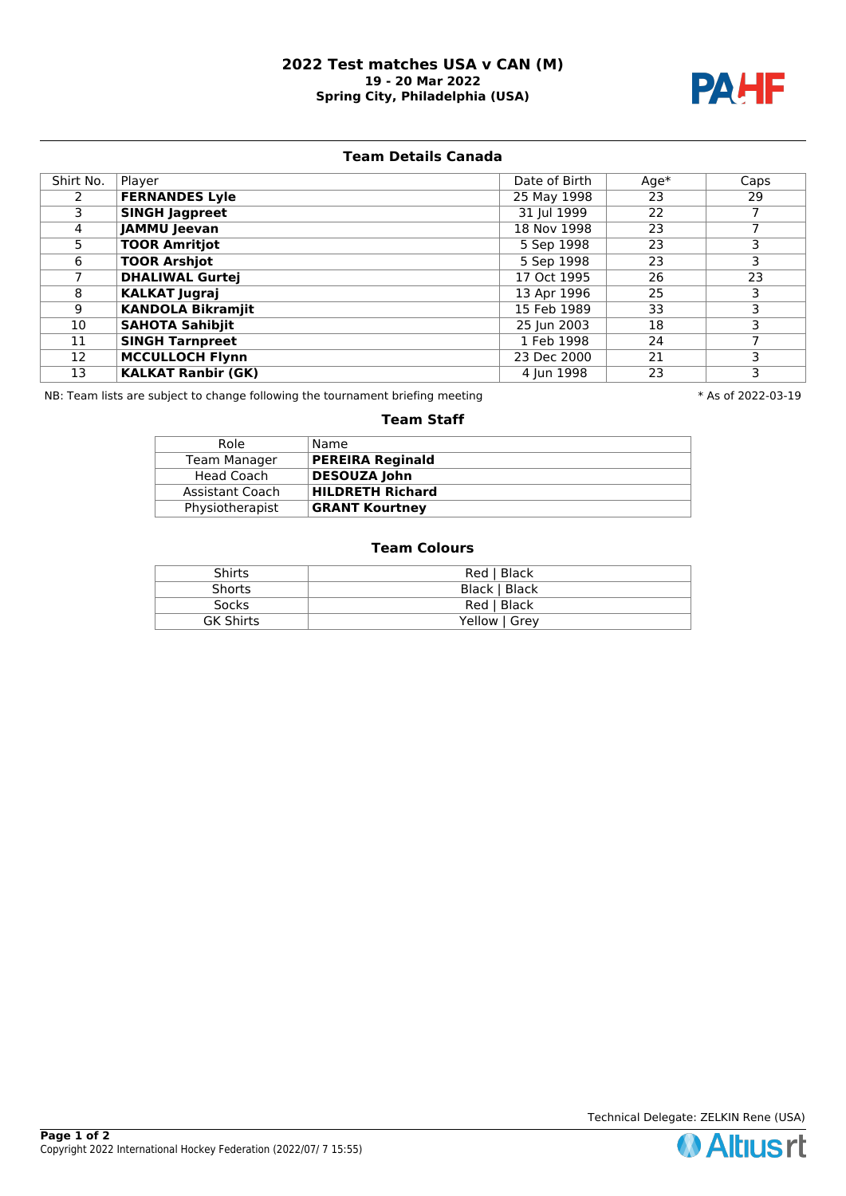### **2022 Test matches USA v CAN (M) 19 - 20 Mar 2022 Spring City, Philadelphia (USA)**



# **Team Details Canada**

| Shirt No. | Player                    | Date of Birth | $Age*$ | Caps |
|-----------|---------------------------|---------------|--------|------|
|           | <b>FERNANDES Lyle</b>     | 25 May 1998   | 23     | 29   |
| 3.        | <b>SINGH Jagpreet</b>     | 31 Jul 1999   | 22     |      |
| 4         | <b>JAMMU Jeevan</b>       | 18 Nov 1998   | 23     |      |
| 5.        | <b>TOOR Amritjot</b>      | 5 Sep 1998    | 23     | 3    |
| 6         | <b>TOOR Arshjot</b>       | 5 Sep 1998    | 23     | 3    |
|           | <b>DHALIWAL Gurtej</b>    | 17 Oct 1995   | 26     | 23   |
| 8         | <b>KALKAT Jugraj</b>      | 13 Apr 1996   | 25     | 3    |
| 9         | <b>KANDOLA Bikramjit</b>  | 15 Feb 1989   | 33     | 3    |
| 10        | <b>SAHOTA Sahibjit</b>    | 25 Jun 2003   | 18     | 3    |
| 11        | <b>SINGH Tarnpreet</b>    | 1 Feb 1998    | 24     |      |
| 12        | <b>MCCULLOCH Flynn</b>    | 23 Dec 2000   | 21     | 3    |
| 13        | <b>KALKAT Ranbir (GK)</b> | 4 Jun 1998    | 23     | 3    |

NB: Team lists are subject to change following the tournament briefing meeting **the set of 2002-19** \* As of 2022-03-19

#### **Team Staff**

| Role            | Name                    |
|-----------------|-------------------------|
| Team Manager    | <b>PEREIRA Reginald</b> |
| Head Coach      | <b>DESOUZA John</b>     |
| Assistant Coach | <b>HILDRETH Richard</b> |
| Physiotherapist | <b>GRANT Kourtney</b>   |

#### **Team Colours**

| <b>Shirts</b>    | Red   Black   |
|------------------|---------------|
| <b>Shorts</b>    | Black   Black |
| <b>Socks</b>     | Red   Black   |
| <b>GK Shirts</b> | Yellow   Grev |